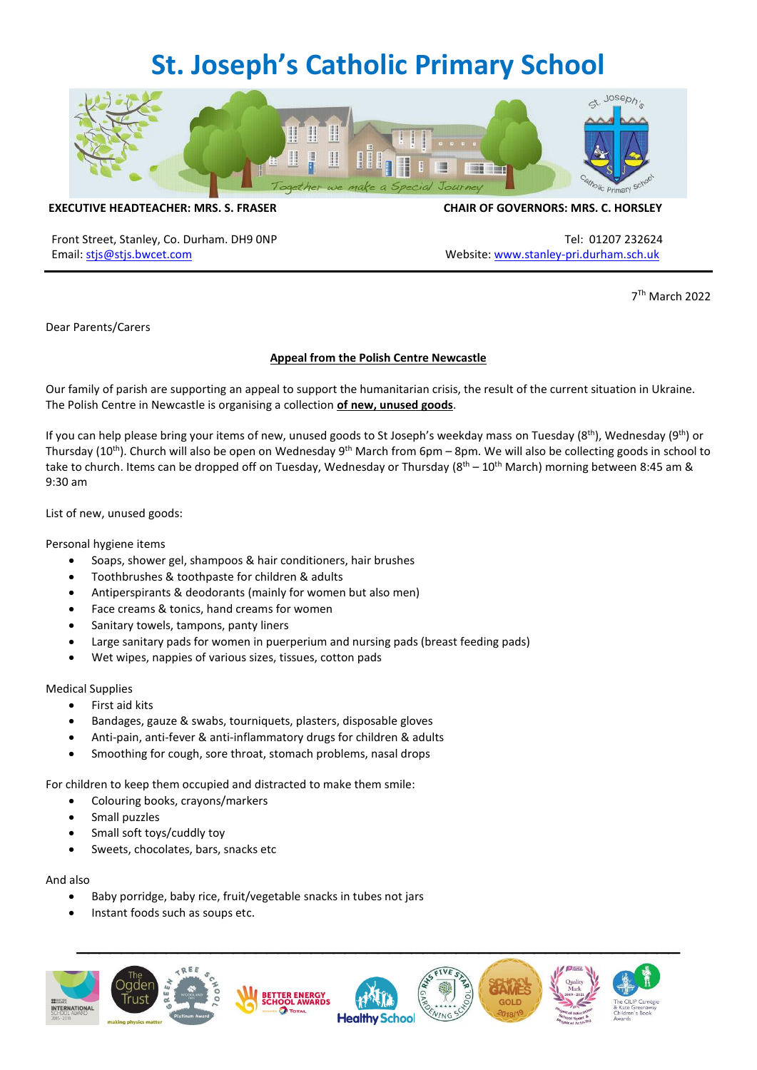## **St. Joseph's Catholic Primary School**



**EXECUTIVE HEADTEACHER: MRS. S. FRASER CHAIR OF GOVERNORS: MRS. C. HORSLEY**

Front Street, Stanley, Co. Durham. DH9 0NP Tel: 01207 232624 Email[: stjs@stjs.bwcet.com](mailto:stjs@stjs.bwcet.com) example and the structure of the Website: [www.stanley-pri.durham.sch.uk](http://www.stanley-pri.durham.sch.uk/)

7 Th March 2022

Dear Parents/Carers

## **Appeal from the Polish Centre Newcastle**

Our family of parish are supporting an appeal to support the humanitarian crisis, the result of the current situation in Ukraine. The Polish Centre in Newcastle is organising a collection **of new, unused goods**.

If you can help please bring your items of new, unused goods to St Joseph's weekday mass on Tuesday (8<sup>th</sup>), Wednesday (9<sup>th</sup>) or Thursday (10<sup>th</sup>). Church will also be open on Wednesday 9<sup>th</sup> March from 6pm – 8pm. We will also be collecting goods in school to take to church. Items can be dropped off on Tuesday, Wednesday or Thursday ( $8^{th}$  –  $10^{th}$  March) morning between 8:45 am & 9:30 am

List of new, unused goods:

Personal hygiene items

- Soaps, shower gel, shampoos & hair conditioners, hair brushes
- Toothbrushes & toothpaste for children & adults
- Antiperspirants & deodorants (mainly for women but also men)
- Face creams & tonics, hand creams for women
- Sanitary towels, tampons, panty liners
- Large sanitary pads for women in puerperium and nursing pads (breast feeding pads)
- Wet wipes, nappies of various sizes, tissues, cotton pads

Medical Supplies

- First aid kits
- Bandages, gauze & swabs, tourniquets, plasters, disposable gloves
- Anti-pain, anti-fever & anti-inflammatory drugs for children & adults
- Smoothing for cough, sore throat, stomach problems, nasal drops

For children to keep them occupied and distracted to make them smile:

- Colouring books, crayons/markers
- Small puzzles
- Small soft toys/cuddly toy
- Sweets, chocolates, bars, snacks etc

And also

- Baby porridge, baby rice, fruit/vegetable snacks in tubes not jars
- Instant foods such as soups etc.